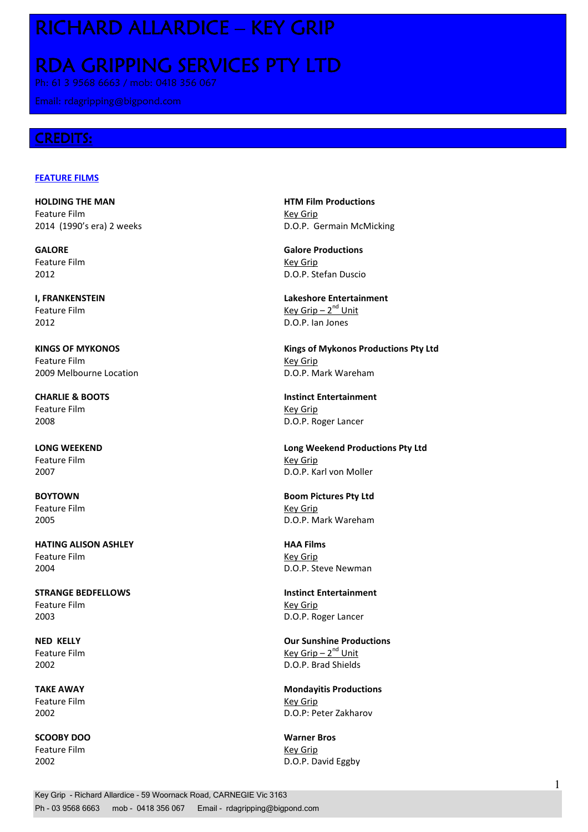## RICHARD ALLARDICE – KEY GRIP

# RDA GRIPPING SERVICES PTY LTD

Ph: 61 3 9568 6663 / mob: 0418 356 067

## CREDITS:

### **FEATURE FILMS**

HOLDING THE MAN HTM Film Productions Feature Film **Key Grip** Key Grip

Feature Film **Key Grip** 

2012 D.O.P. Ian Jones

Feature Film **Key Grip** 2009 Melbourne Location **D.O.P. Mark Wareham** 

Feature Film **Key Grip** 

Feature Film **Key Grip** 

Feature Film **Key Grip Key Grip** 

HATING ALISON ASHLEY **HATING ALISON** Feature Film **Key Grip** 2004 D.O.P. Steve Newman

STRANGE BEDFELLOWS **Instinct Entertainment** Feature Film **Key Grip** Key Grip 2003 D.O.P. Roger Lancer

Feature Film **Key Grip** 

SCOOBY DOO Warner Bros Feature Film **Key Grip** 

2014 (1990's era) 2 weeks D.O.P. Germain McMicking

GALORE Galore Productions 2012 D.O.P. Stefan Duscio

I, FRANKENSTEIN Lakeshore Entertainment Feature Film  $Key Grip - 2^{nd} Unit$ 

KINGS OF MYKONOS **KINGS OF MYKONOS** Kings of Mykonos Productions Pty Ltd

CHARLIE & BOOTS Instinct Entertainment 2008 D.O.P. Roger Lancer

LONG WEEKEND Long Weekend Productions Pty Ltd 2007 D.O.P. Karl von Moller

BOYTOWN Boom Pictures Pty Ltd 2005 D.O.P. Mark Wareham

NED KELLY Our Sunshine Productions Feature Film  $Key Grip - 2<sup>nd</sup> Unit$ 2002 D.O.P. Brad Shields

TAKE AWAY **Mondayitis Productions** 2002 D.O.P: Peter Zakharov

2002 D.O.P. David Eggby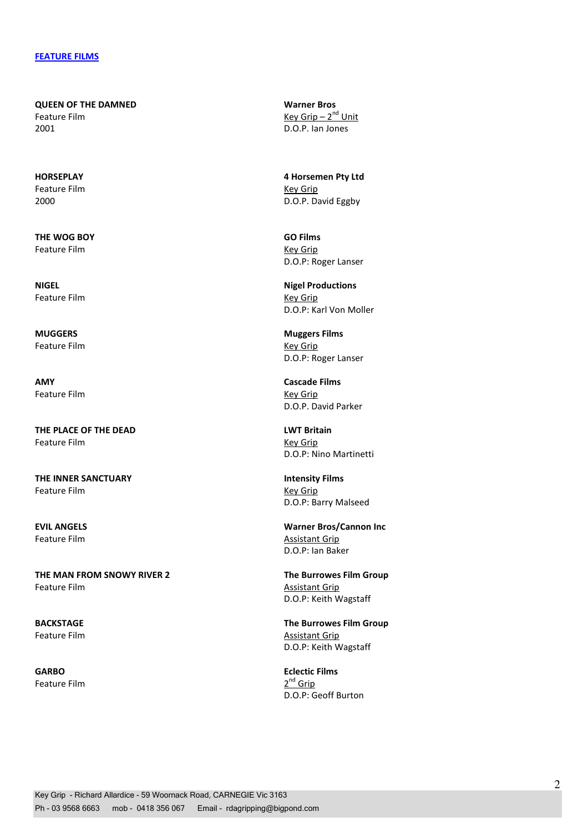QUEEN OF THE DAMNED Warner Bros Feature Film  $Key Grip - 2<sup>nd</sup> Unit$ 2001 D.O.P. Ian Jones

Feature Film **Key Grip** 

THE WOG BOY GO Films Feature Film **Key Grip** 

Feature Film **Key Grip** 

Feature Film **Key Grip** 

AMY Cascade Films Feature Film **Key Grip** 

THE PLACE OF THE DEAD LWT Britain Feature Film **Key Grip** 

THE INNER SANCTUARY **Intensity Films** Feature Film **Key Grip** 

THE MAN FROM SNOWY RIVER 2 The Burrowes Film Group Feature Film **Assistant Grip** 

Feature Film 2<sup>nd</sup> Grip

HORSEPLAY 4 Horsemen Pty Ltd 2000 D.O.P. David Eggby

D.O.P: Roger Lanser

NIGEL NIGEL **NIGEL** D.O.P: Karl Von Moller

MUGGERS Muggers Films D.O.P: Roger Lanser

D.O.P. David Parker

D.O.P: Nino Martinetti

D.O.P: Barry Malseed

EVIL ANGELS Warner Bros/Cannon Inc Feature Film **Assistant Grip** D.O.P: Ian Baker

D.O.P: Keith Wagstaff

BACKSTAGE **The Burrowes Film Group** Feature Film **Assistant Grip** D.O.P: Keith Wagstaff

GARBO **Eclectic Films** D.O.P: Geoff Burton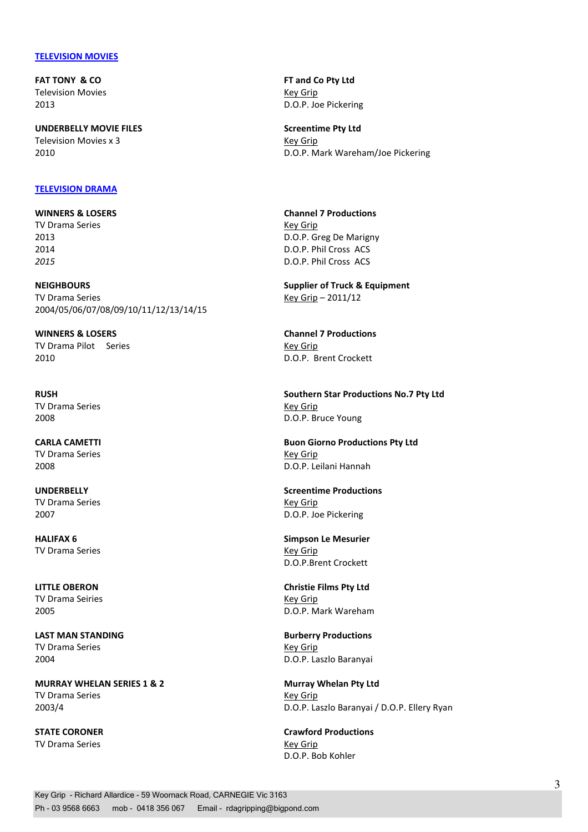#### **TELEVISION MOVIES**

Television Movies **Key Grip** 

UNDERBELLY MOVIE FILES Screentime Pty Ltd Television Movies x 3 Key Grip

#### TELEVISION DRAMA

TV Drama Series **Key Grip** Key Grip

NEIGHBOURS Supplier of Truck & Equipment TV Drama Series Key Grip – 2011/12 2004/05/06/07/08/09/10/11/12/13/14/15

TV Drama Pilot Series **Key Grip** Key Grip 2010 D.O.P. Brent Crockett

TV Drama Series **Key Grip** Key Grip

TV Drama Series **Key Grip** Key Grip

TV Drama Series **Key Grip** Key Grip

TV Drama Series New York 1999 and the United States Assembly New York 1999 and New York 1999 and New York 1999

TV Drama Seiries **Key Grip** Key Grip

TV Drama Series **Key Grip Key Grip** 

MURRAY WHELAN SERIES 1 & 2 Murray Whelan Pty Ltd TV Drama Series **Key Grip** Key Grip

TV Drama Series **Key Grip** Key Grip

FAT TONY & CO FAT TONY A CO FIND TO PLY LEADER A SERIES AND THE ANNUAL SERIES OF THE ANNUAL SERIES OF THE ANNUAL SERIES OF THE ANNUAL SERIES OF THE ANNUAL SERIES OF THE ANNUAL SERIES OF THE ANNUAL SERIES OF THE ANNUAL SERI 2013 D.O.P. Joe Pickering

2010 D.O.P. Mark Wareham/Joe Pickering

WINNERS & LOSERS **Channel 7 Productions** 2013 D.O.P. Greg De Marigny 2014 D.O.P. Phil Cross ACS 2015 D.O.P. Phil Cross ACS

WINNERS & LOSERS Channel 7 Productions

RUSH Southern Star Productions No.7 Pty Ltd 2008 D.O.P. Bruce Young

CARLA CAMETTI **Buon Giorno Productions Pty Ltd** 2008 D.O.P. Leilani Hannah

UNDERBELLY Screentime Productions 2007 D.O.P. Joe Pickering

HALIFAX 6 Simpson Le Mesurier D.O.P.Brent Crockett

LITTLE OBERON Christie Films Pty Ltd 2005 D.O.P. Mark Wareham

LAST MAN STANDING **Burberry Productions** 2004 D.O.P. Laszlo Baranyai

2003/4 D.O.P. Laszlo Baranyai / D.O.P. Ellery Ryan

STATE CORONER **CORONER CORONER** Crawford Productions D.O.P. Bob Kohler